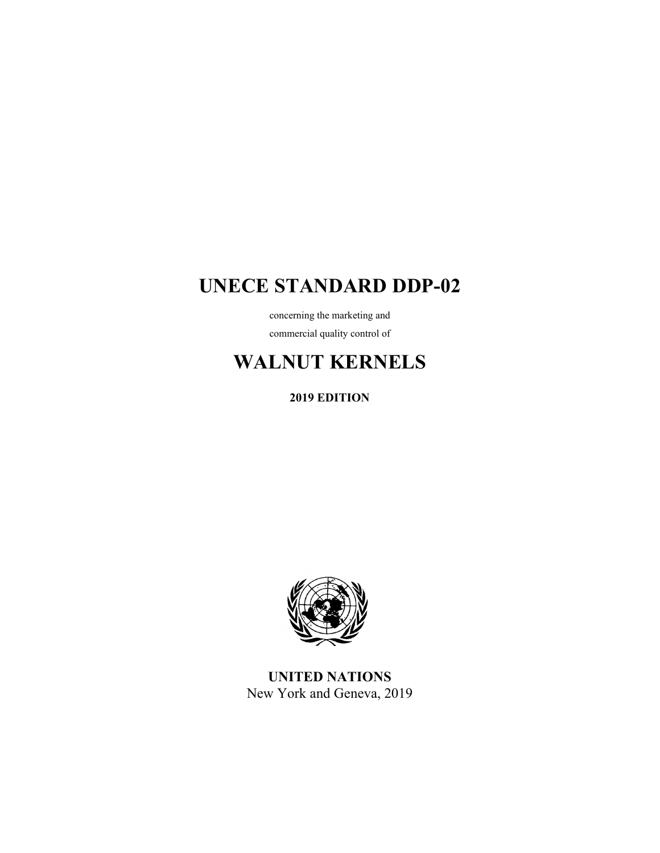# **UNECE STANDARD DDP-02**

concerning the marketing and commercial quality control of

# **WALNUT KERNELS**

**2019 EDITION** 



**UNITED NATIONS**  New York and Geneva, 2019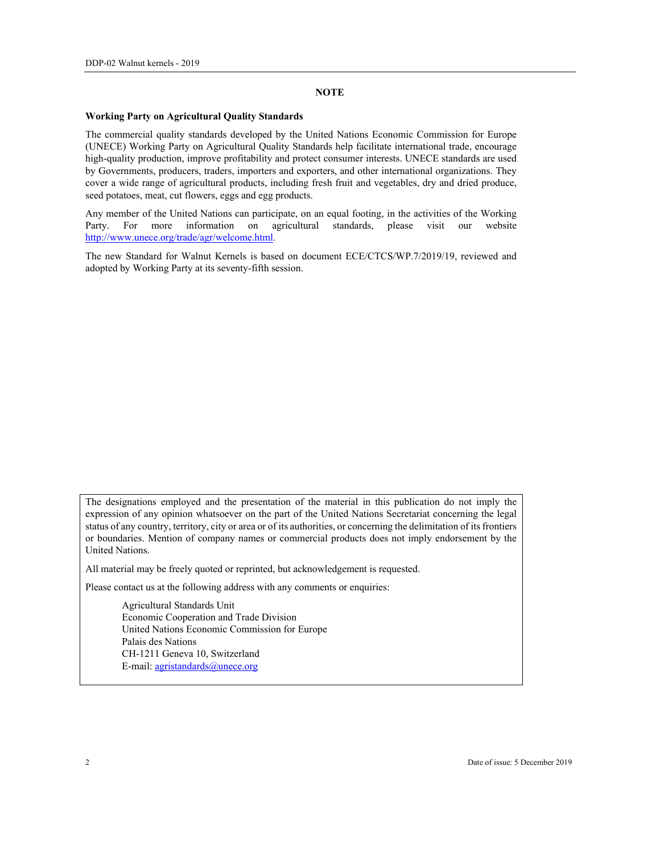### **NOTE**

#### **Working Party on Agricultural Quality Standards**

The commercial quality standards developed by the United Nations Economic Commission for Europe (UNECE) Working Party on Agricultural Quality Standards help facilitate international trade, encourage high-quality production, improve profitability and protect consumer interests. UNECE standards are used by Governments, producers, traders, importers and exporters, and other international organizations. They cover a wide range of agricultural products, including fresh fruit and vegetables, dry and dried produce, seed potatoes, meat, cut flowers, eggs and egg products.

Any member of the United Nations can participate, on an equal footing, in the activities of the Working Party. For more information on agricultural standards, please visit our website http://www.unece.org/trade/agr/welcome.html.

The new Standard for Walnut Kernels is based on document ECE/CTCS/WP.7/2019/19, reviewed and adopted by Working Party at its seventy-fifth session.

The designations employed and the presentation of the material in this publication do not imply the expression of any opinion whatsoever on the part of the United Nations Secretariat concerning the legal status of any country, territory, city or area or of its authorities, or concerning the delimitation of its frontiers or boundaries. Mention of company names or commercial products does not imply endorsement by the United Nations.

All material may be freely quoted or reprinted, but acknowledgement is requested.

Please contact us at the following address with any comments or enquiries:

 Agricultural Standards Unit Economic Cooperation and Trade Division United Nations Economic Commission for Europe Palais des Nations CH-1211 Geneva 10, Switzerland E-mail: agristandards@unece.org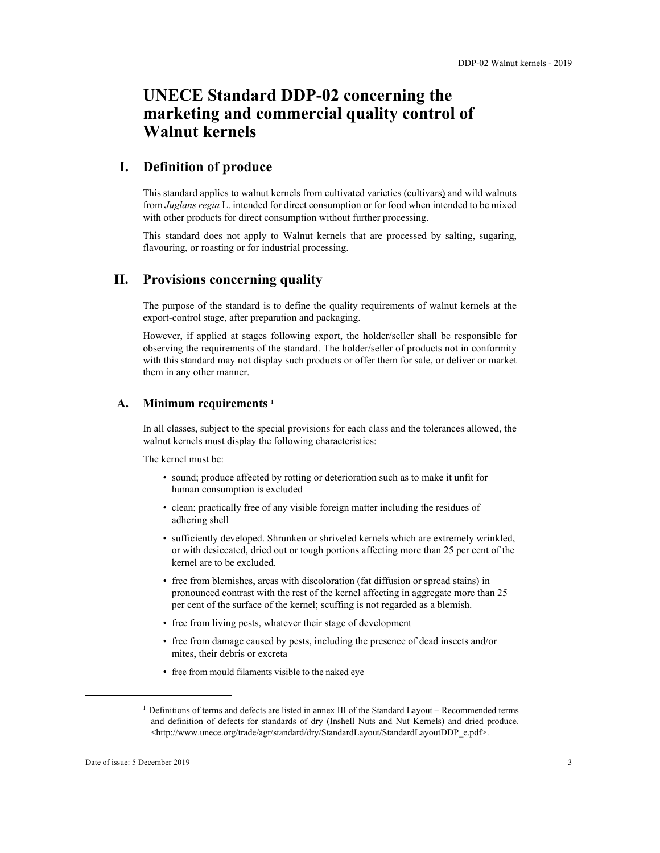# **UNECE Standard DDP-02 concerning the marketing and commercial quality control of Walnut kernels**

## **I. Definition of produce**

This standard applies to walnut kernels from cultivated varieties (cultivars) and wild walnuts from *Juglans regia* L. intended for direct consumption or for food when intended to be mixed with other products for direct consumption without further processing.

This standard does not apply to Walnut kernels that are processed by salting, sugaring, flavouring, or roasting or for industrial processing.

### **II. Provisions concerning quality**

The purpose of the standard is to define the quality requirements of walnut kernels at the export-control stage, after preparation and packaging.

However, if applied at stages following export, the holder/seller shall be responsible for observing the requirements of the standard. The holder/seller of products not in conformity with this standard may not display such products or offer them for sale, or deliver or market them in any other manner.

### **A. Minimum requirements 1**

In all classes, subject to the special provisions for each class and the tolerances allowed, the walnut kernels must display the following characteristics:

The kernel must be:

- sound; produce affected by rotting or deterioration such as to make it unfit for human consumption is excluded
- clean; practically free of any visible foreign matter including the residues of adhering shell
- sufficiently developed. Shrunken or shriveled kernels which are extremely wrinkled, or with desiccated, dried out or tough portions affecting more than 25 per cent of the kernel are to be excluded.
- free from blemishes, areas with discoloration (fat diffusion or spread stains) in pronounced contrast with the rest of the kernel affecting in aggregate more than 25 per cent of the surface of the kernel; scuffing is not regarded as a blemish.
- free from living pests, whatever their stage of development
- free from damage caused by pests, including the presence of dead insects and/or mites, their debris or excreta
- free from mould filaments visible to the naked eye

<sup>&</sup>lt;sup>1</sup> Definitions of terms and defects are listed in annex III of the Standard Layout – Recommended terms and definition of defects for standards of dry (Inshell Nuts and Nut Kernels) and dried produce. <http://www.unece.org/trade/agr/standard/dry/StandardLayout/StandardLayoutDDP\_e.pdf>.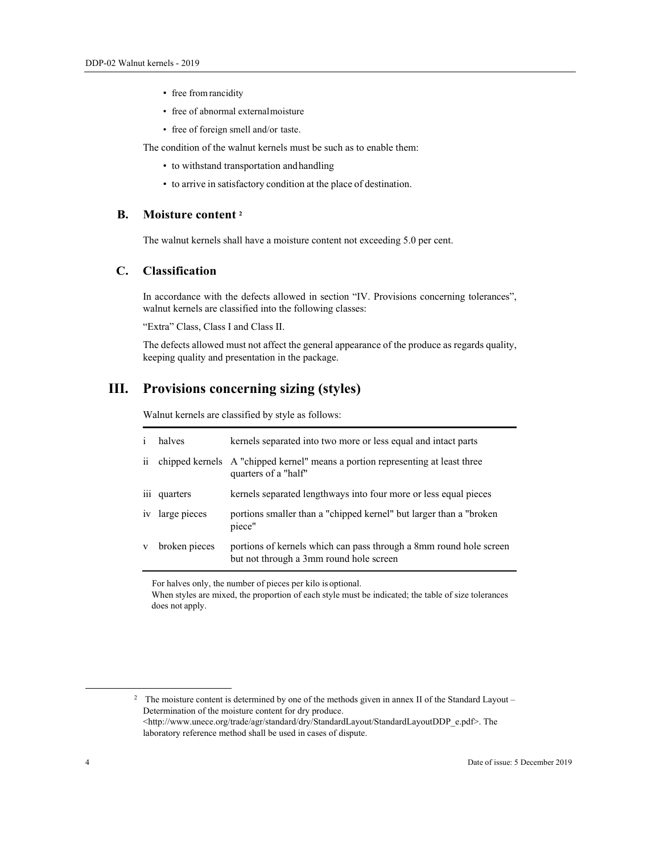- free from rancidity
- free of abnormal external moisture
- free of foreign smell and/or taste.

The condition of the walnut kernels must be such as to enable them:

- to withstand transportation and handling
- to arrive in satisfactory condition at the place of destination.

### **B. Moisture content 2**

The walnut kernels shall have a moisture content not exceeding 5.0 per cent.

### **C. Classification**

In accordance with the defects allowed in section "IV. Provisions concerning tolerances", walnut kernels are classified into the following classes:

"Extra" Class, Class I and Class II.

The defects allowed must not affect the general appearance of the produce as regards quality, keeping quality and presentation in the package.

# **III. Provisions concerning sizing (styles)**

Walnut kernels are classified by style as follows:

| $\mathbf{1}$ | halves          | kernels separated into two more or less equal and intact parts                                                |
|--------------|-----------------|---------------------------------------------------------------------------------------------------------------|
| $\ddot{i}$   |                 | chipped kernels A "chipped kernel" means a portion representing at least three<br>quarters of a "half"        |
|              | iii quarters    | kernels separated lengthways into four more or less equal pieces                                              |
|              | iv large pieces | portions smaller than a "chipped kernel" but larger than a "broken"<br>piece"                                 |
| V            | broken pieces   | portions of kernels which can pass through a 8mm round hole screen<br>but not through a 3mm round hole screen |

For halves only, the number of pieces per kilo is optional.

When styles are mixed, the proportion of each style must be indicated; the table of size tolerances does not apply.

<sup>2</sup> The moisture content is determined by one of the methods given in annex II of the Standard Layout – Determination of the moisture content for dry produce. <http://www.unece.org/trade/agr/standard/dry/StandardLayout/StandardLayoutDDP\_e.pdf>. The laboratory reference method shall be used in cases of dispute.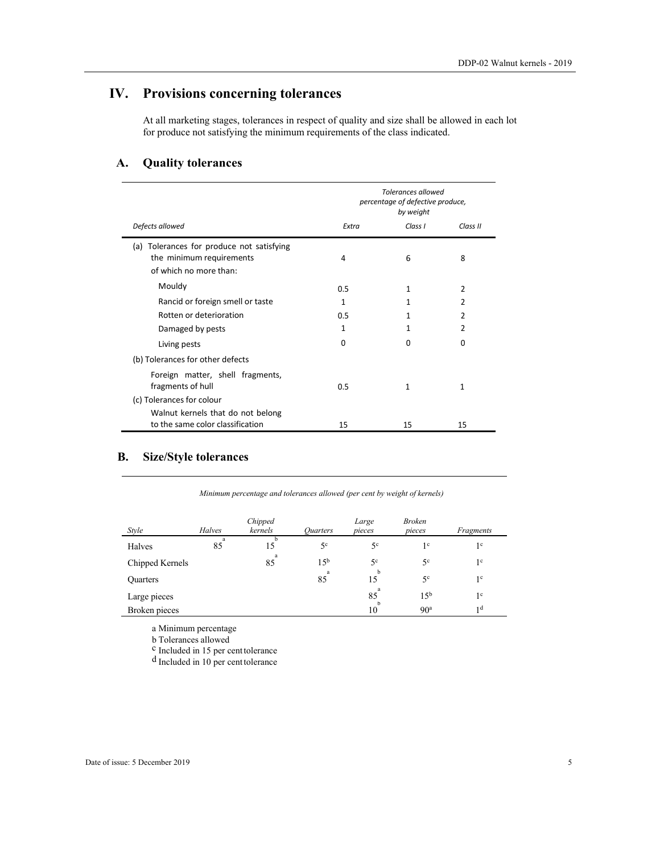# **IV. Provisions concerning tolerances**

At all marketing stages, tolerances in respect of quality and size shall be allowed in each lot for produce not satisfying the minimum requirements of the class indicated.

# **A. Quality tolerances**

 $\blacksquare$ 

L.

|                                                                                                    | <b>Tolerances allowed</b><br>percentage of defective produce,<br>by weight |          |                |
|----------------------------------------------------------------------------------------------------|----------------------------------------------------------------------------|----------|----------------|
| Defects allowed                                                                                    | Extra                                                                      | Class I  | Class II       |
| Tolerances for produce not satisfying<br>(a)<br>the minimum requirements<br>of which no more than: | 4                                                                          | 6        | 8              |
| Mouldy                                                                                             | 0.5                                                                        | 1        | $\overline{2}$ |
| Rancid or foreign smell or taste                                                                   | 1                                                                          | 1        | 2              |
| Rotten or deterioration                                                                            | 0.5                                                                        | 1        | $\overline{2}$ |
| Damaged by pests                                                                                   | 1                                                                          | 1        | 2              |
| Living pests                                                                                       | $\Omega$                                                                   | $\Omega$ | $\Omega$       |
| (b) Tolerances for other defects                                                                   |                                                                            |          |                |
| Foreign matter, shell fragments,<br>fragments of hull                                              | 0.5                                                                        | 1        | 1              |
| (c) Tolerances for colour                                                                          |                                                                            |          |                |
| Walnut kernels that do not belong                                                                  |                                                                            |          |                |
| to the same color classification                                                                   | 15                                                                         | 15       | 15             |

# **B. Size/Style tolerances**

| Minimum percentage and tolerances allowed (per cent by weight of kernels) |  |
|---------------------------------------------------------------------------|--|
|                                                                           |  |

| <i>Style</i>    | <b>Halves</b> | Chipped<br>kernels | Ouarters        | Large<br>pieces | <b>Broken</b><br>pieces | Fragments      |
|-----------------|---------------|--------------------|-----------------|-----------------|-------------------------|----------------|
| Halves          | a<br>85       | 15                 | 5 <sup>c</sup>  | 5 <sup>c</sup>  | 1 <sup>c</sup>          | 1 <sup>c</sup> |
| Chipped Kernels |               | a<br>85            | 15 <sup>b</sup> | 5 <sup>c</sup>  | 5 <sup>c</sup>          | 1 <sup>c</sup> |
| <b>Quarters</b> |               |                    | - a<br>85       | b<br>15         | 5 <sup>c</sup>          | 1 <sup>c</sup> |
| Large pieces    |               |                    |                 | a<br>85<br>h    | 1.5 <sup>b</sup>        | 1 <sup>c</sup> |
| Broken pieces   |               |                    |                 | 10              | 90 <sup>a</sup>         | 1 <sub>d</sub> |

a Minimum percentage

b Tolerances allowed<br><sup>c</sup> Included in 15 per cent tolerance

d Included in 10 per cent tolerance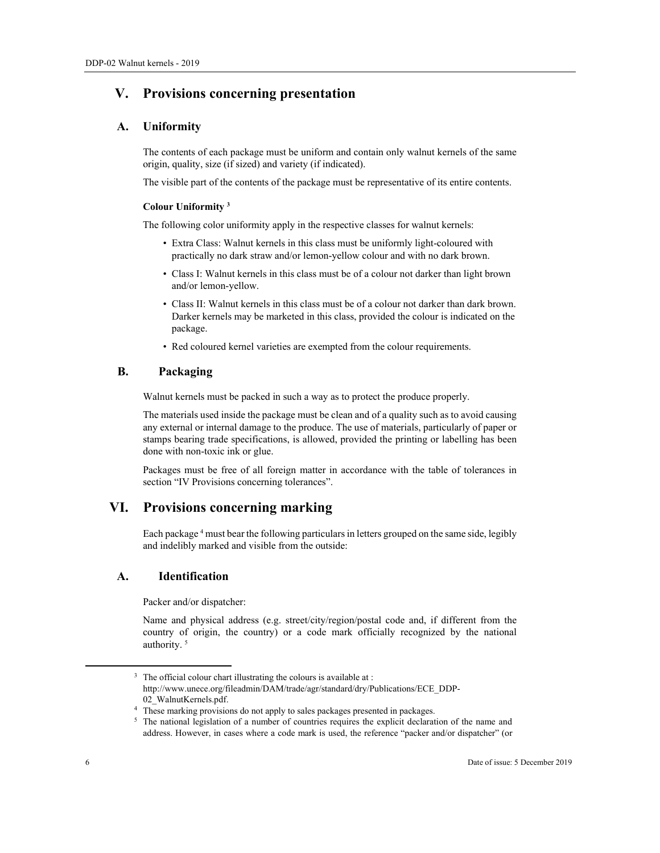# **V. Provisions concerning presentation**

### **A. Uniformity**

The contents of each package must be uniform and contain only walnut kernels of the same origin, quality, size (if sized) and variety (if indicated).

The visible part of the contents of the package must be representative of its entire contents.

#### **Colour Uniformity 3**

The following color uniformity apply in the respective classes for walnut kernels:

- Extra Class: Walnut kernels in this class must be uniformly light-coloured with practically no dark straw and/or lemon-yellow colour and with no dark brown.
- Class I: Walnut kernels in this class must be of a colour not darker than light brown and/or lemon-yellow.
- Class II: Walnut kernels in this class must be of a colour not darker than dark brown. Darker kernels may be marketed in this class, provided the colour is indicated on the package.
- Red coloured kernel varieties are exempted from the colour requirements.

### **B. Packaging**

Walnut kernels must be packed in such a way as to protect the produce properly.

The materials used inside the package must be clean and of a quality such as to avoid causing any external or internal damage to the produce. The use of materials, particularly of paper or stamps bearing trade specifications, is allowed, provided the printing or labelling has been done with non-toxic ink or glue.

Packages must be free of all foreign matter in accordance with the table of tolerances in section "IV Provisions concerning tolerances".

## **VI. Provisions concerning marking**

Each package 4 must bear the following particulars in letters grouped on the same side, legibly and indelibly marked and visible from the outside:

### **A. Identification**

Packer and/or dispatcher:

Name and physical address (e.g. street/city/region/postal code and, if different from the country of origin, the country) or a code mark officially recognized by the national authority. 5

<sup>&</sup>lt;sup>3</sup> The official colour chart illustrating the colours is available at :

http://www.unece.org/fileadmin/DAM/trade/agr/standard/dry/Publications/ECE\_DDP-02\_WalnutKernels.pdf. 4 These marking provisions do not apply to sales packages presented in packages.

<sup>&</sup>lt;sup>5</sup> The national legislation of a number of countries requires the explicit declaration of the name and address. However, in cases where a code mark is used, the reference "packer and/or dispatcher" (or